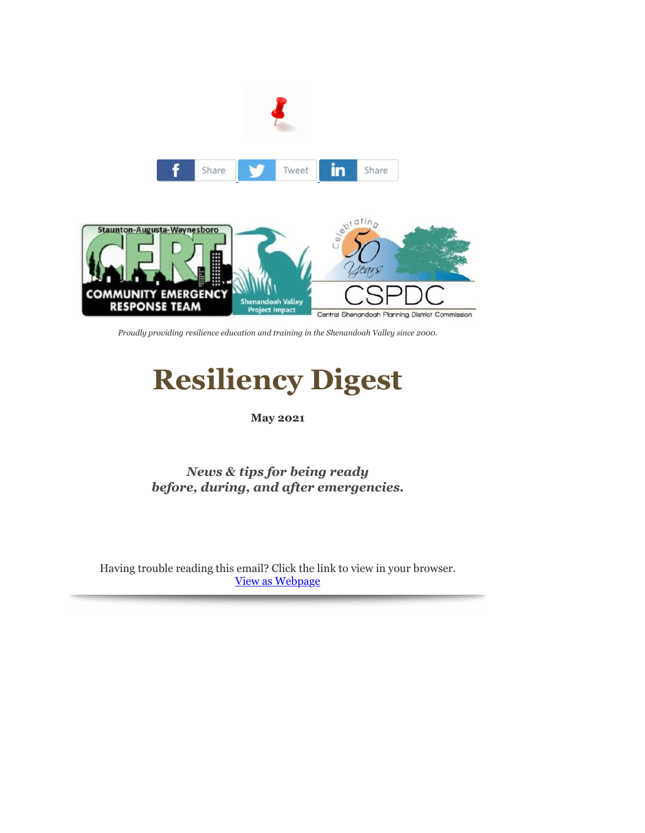

*Proudly providing resilience education and training in the Shenandoah Valley since 2000.*

# **Resiliency Digest**

#### **May 2021**

*News & tips for being ready before, during, and after emergencies.*

Having trouble reading this email? Click the link to view in your browser. [View as Webpage](http://r20.rs6.net/tn.jsp?f=001iSLcVe_Q-L8RX5djCCJYYmAikLi5IaIPMd8ubNxcEcETEsmoOzcO4OvIQL4mrBK3F6_Zswu0MsCLkKEPmtLlWVim7bBrat6T7JOESDq6geIeFMFBwFAwrdzSyygKtLWhyqwH4M4z-H7AF91HY7JNAQ==&c=ZEumMeJ5V6AWXGnbvu6HgtrWq0G1a3Ri1xbZBPjfj1SOC8BO1Pa50g==&ch=KRAq8TDMBovyeW0bdZQL4jgDaXROYiaozSpqLbrol65DSEV8KOAo8Q==)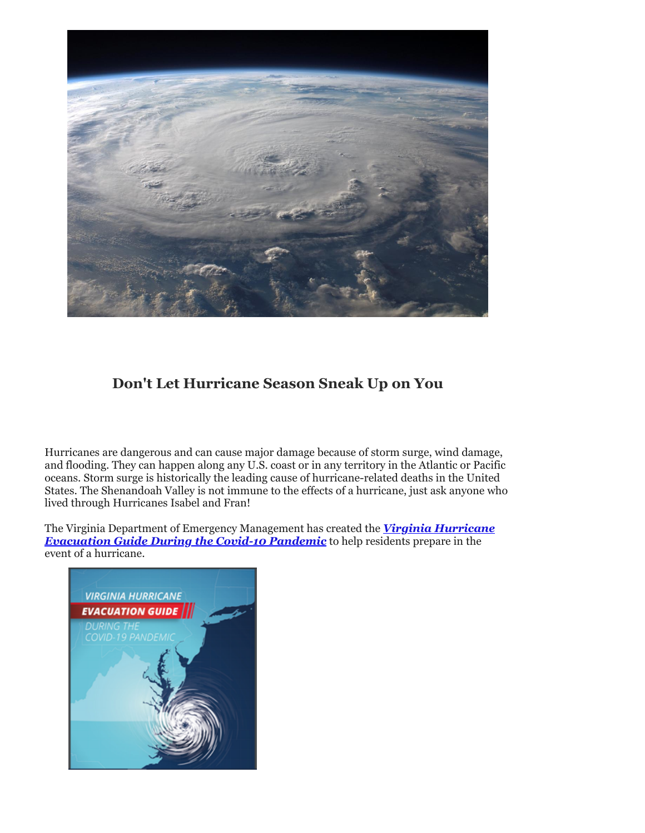

## **Don't Let Hurricane Season Sneak Up on You**

Hurricanes are dangerous and can cause major damage because of storm surge, wind damage, and flooding. They can happen along any U.S. coast or in any territory in the Atlantic or Pacific oceans. Storm surge is historically the leading cause of hurricane-related deaths in the United States. The Shenandoah Valley is not immune to the effects of a hurricane, just ask anyone who lived through Hurricanes Isabel and Fran!

[The Virginia Department of Emergency Management has created the](http://r20.rs6.net/tn.jsp?f=001iSLcVe_Q-L8RX5djCCJYYmAikLi5IaIPMd8ubNxcEcETEsmoOzcO4OvIQL4mrBK3J5666cxguydqLCsU3cmysyYeS5W7zEND4pu3Hx2cCASnOooI7gykfHLYotAWDZGxN0eKRK79pJKh2r-hzGQieaK6_ZTkA4xcH4LYd0LBnLw8F1BYCimgQOBizCfPAU0onz2Xf0vO_gC8LX835jOLxEn3cd120SrfrYw4XNS5R7M5VG-aHZmqFJQO6Z7Xko6MJkEYIQhH2x2vIZTx8X-wGw==&c=ZEumMeJ5V6AWXGnbvu6HgtrWq0G1a3Ri1xbZBPjfj1SOC8BO1Pa50g==&ch=KRAq8TDMBovyeW0bdZQL4jgDaXROYiaozSpqLbrol65DSEV8KOAo8Q==) *Virginia Hurricane Evacuation Guide During the Covid-10 Pandemic* to help residents prepare in the event of a hurricane.

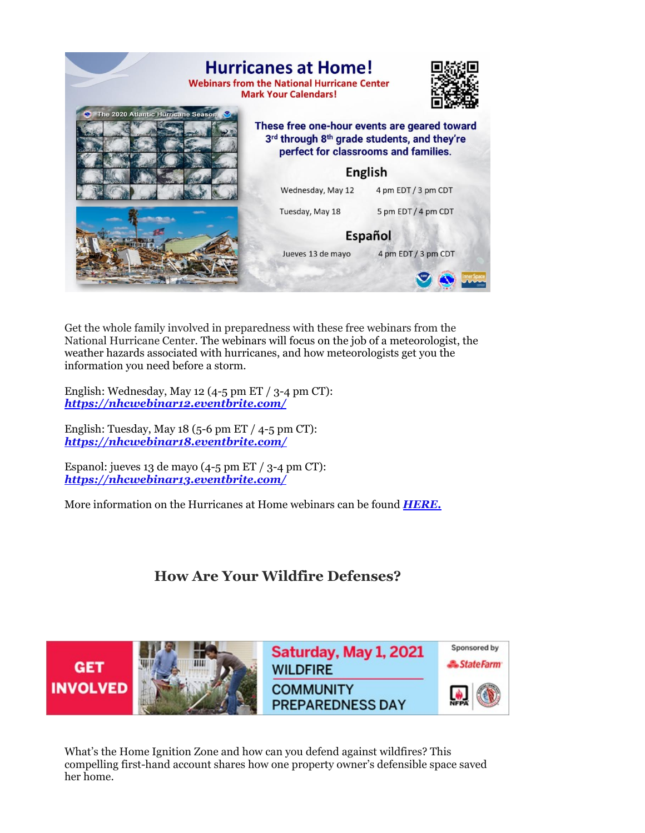

Get the whole family involved in preparedness with these free webinars from the National Hurricane Center. The webinars will focus on the job of a meteorologist, the weather hazards associated with hurricanes, and how meteorologists get you the information you need before a storm.

English: Wednesday, May 12 (4-5 pm ET / 3-4 pm CT): *[https://nhcwebinar12.eventbrite.com/](http://r20.rs6.net/tn.jsp?f=001iSLcVe_Q-L8RX5djCCJYYmAikLi5IaIPMd8ubNxcEcETEsmoOzcO4OvIQL4mrBK3_MuIY2g8yKWxE0bQYkslKEin2_KzkENNgyrEWAPrYMMd2FiQM6gMISBhwt2Vsd88SJ0PEeOggzMYWPOSf5s02qi2jkX6w9-W9Ef76L3inV5VjlSZZ8JwsvG-lWiytt1s43w0qDItL1F4DJio4ktu45CRWx1tMRiegSZr2isEWHWpvIn4hTUlvynO6KtDVRzk&c=ZEumMeJ5V6AWXGnbvu6HgtrWq0G1a3Ri1xbZBPjfj1SOC8BO1Pa50g==&ch=KRAq8TDMBovyeW0bdZQL4jgDaXROYiaozSpqLbrol65DSEV8KOAo8Q==)*

English: Tuesday, May  $18$  (5-6 pm ET / 4-5 pm CT): *[https://nhcwebinar18.eventbrite.com/](http://r20.rs6.net/tn.jsp?f=001iSLcVe_Q-L8RX5djCCJYYmAikLi5IaIPMd8ubNxcEcETEsmoOzcO4OvIQL4mrBK3I9FjJq9_w2ypWb_P3MCNIPOb5Z9Z5jVXXc6w-xhUaB3QAvuZhd724HH36T43fi2u43XyDGxehBbqOo5Eo2rPJVqS2d1SH3H2UaDe1o7AvYDf3TO1y-Q-telLOQJjkS70B1jwVlITuKi89lk3okrMoF_JIdMb70XPge60os9bSl2-gRcJyiWX14UFUR_Ss6nW&c=ZEumMeJ5V6AWXGnbvu6HgtrWq0G1a3Ri1xbZBPjfj1SOC8BO1Pa50g==&ch=KRAq8TDMBovyeW0bdZQL4jgDaXROYiaozSpqLbrol65DSEV8KOAo8Q==)*

Espanol: jueves 13 de mayo  $(4-5 \text{ pm ET} / 3-4 \text{ pm CT})$ : *[https://nhcwebinar13.eventbrite.com/](http://r20.rs6.net/tn.jsp?f=001iSLcVe_Q-L8RX5djCCJYYmAikLi5IaIPMd8ubNxcEcETEsmoOzcO4OvIQL4mrBK3982A_DRTjhIjQ-41XjT4tmXFBq7DnjwtpIbY6jLPMPc6tINFfRAr_XftUz2-i0BbyzG4TqwwAb_A39Wi50Clt30jvPkDGa2QALbmQwmNUFobX8MgJ97KNSoLmlC3mTq3WeAg9MwJephBkpA2_31oFA__yxskHNY8X3SSrzhaKUU-nD1zmATw2-nJnxdmdoTGPurnNxTw4Jve89IbY1Z8tivEU0lDjSewnbc54Li-D8OD4zVHE6Kg0aR6dS2Bu5nlqAwHXE98iAc=&c=ZEumMeJ5V6AWXGnbvu6HgtrWq0G1a3Ri1xbZBPjfj1SOC8BO1Pa50g==&ch=KRAq8TDMBovyeW0bdZQL4jgDaXROYiaozSpqLbrol65DSEV8KOAo8Q==)*

More information on the Hurricanes at Home webinars can be found *[HERE.](http://r20.rs6.net/tn.jsp?f=001iSLcVe_Q-L8RX5djCCJYYmAikLi5IaIPMd8ubNxcEcETEsmoOzcO4OvIQL4mrBK3CESwHldnSbltw91nDGCt_0tiNi7BA80TG4KUgUakWAz9k-ebO1TryDqhWjhYUye0v-8YzJ6_amPEAG8xzjdpWu_aN5KkkAMXdiNyOxjc_Kwbq2t4RcGiDg==&c=ZEumMeJ5V6AWXGnbvu6HgtrWq0G1a3Ri1xbZBPjfj1SOC8BO1Pa50g==&ch=KRAq8TDMBovyeW0bdZQL4jgDaXROYiaozSpqLbrol65DSEV8KOAo8Q==)*

### **How Are Your Wildfire Defenses?**



What's the Home Ignition Zone and how can you defend against wildfires? This compelling first-hand account shares how one property owner's defensible space saved her home.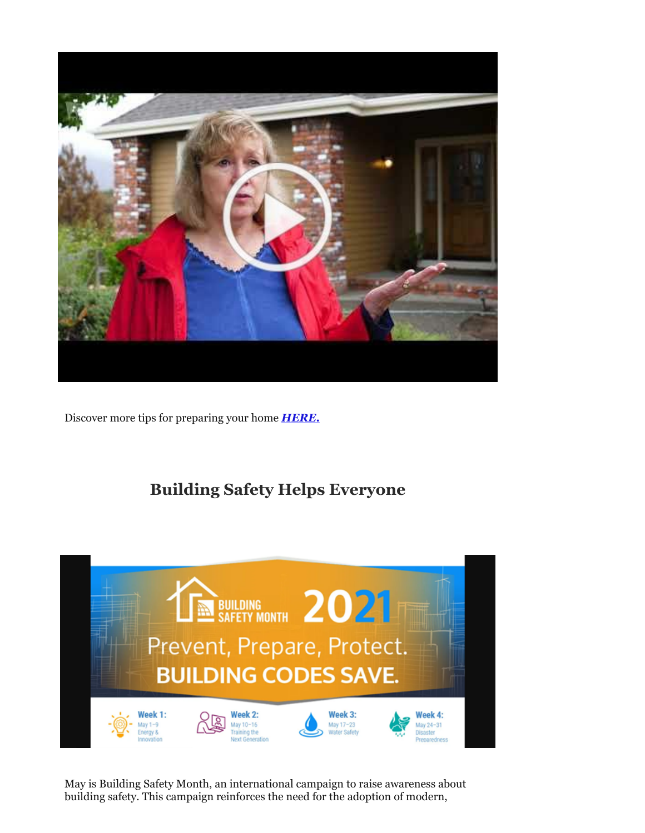

Discover more tips for preparing your home *[HERE.](http://r20.rs6.net/tn.jsp?f=001iSLcVe_Q-L8RX5djCCJYYmAikLi5IaIPMd8ubNxcEcETEsmoOzcO4OvIQL4mrBK313wF4rgflJLYzB74jv6aR4pJr1YrbynC3NcUnWF1b9HToPG_taCjyqR0-DdhrXIXVC5sZho7NhvJCLkEAplYuFFjh-9oNmLIO4E81MrEEpwVcGUtiodvt8zvMIXDW95z3zEJ9aEA3t1kJAbzN7-eSveBi1oBEvhozRzVSdsTznjWBE9ScXpQf56pOIliTMNu&c=ZEumMeJ5V6AWXGnbvu6HgtrWq0G1a3Ri1xbZBPjfj1SOC8BO1Pa50g==&ch=KRAq8TDMBovyeW0bdZQL4jgDaXROYiaozSpqLbrol65DSEV8KOAo8Q==)*

## **Building Safety Helps Everyone**



May is Building Safety Month, an international campaign to raise awareness about building safety. This campaign reinforces the need for the adoption of modern,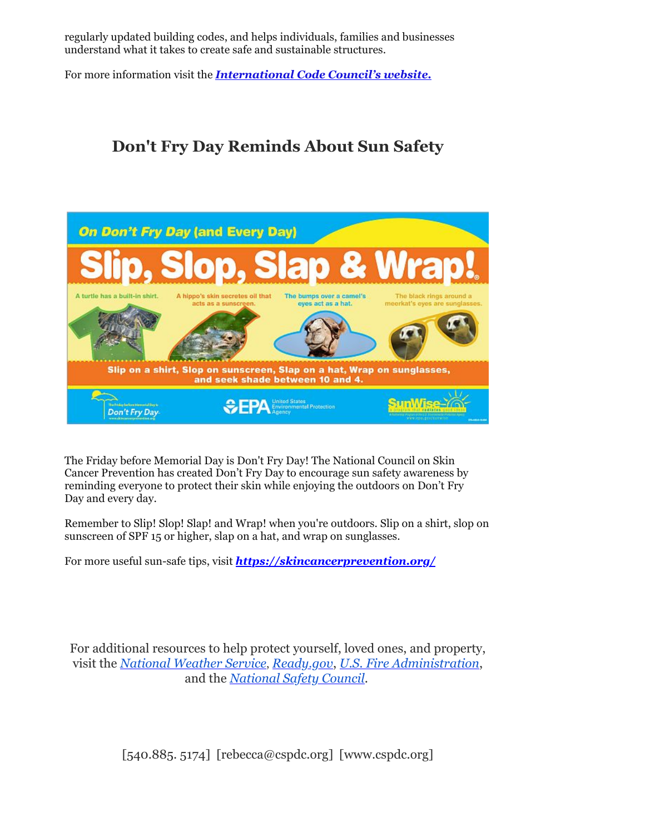regularly updated building codes, and helps individuals, families and businesses understand what it takes to create safe and sustainable structures.

For more information visit the *[International Code Council's website.](http://r20.rs6.net/tn.jsp?f=001iSLcVe_Q-L8RX5djCCJYYmAikLi5IaIPMd8ubNxcEcETEsmoOzcO4OvIQL4mrBK31y1IVQbyw7RJLtyga2M-Y33HnXgArZB784IHYiujccpAB3NMlznxQQL90Q2FXAr2zZ4gFP4zFn3euOWu-LN9GkI_73EYLLIcQVhSBQeOq1_Em5_OYUmN5qMzoF2_UsqQ19_5BhPXfu1h2bSqX8YABvk9a8X9P4NxwS-eRptY6XQ=&c=ZEumMeJ5V6AWXGnbvu6HgtrWq0G1a3Ri1xbZBPjfj1SOC8BO1Pa50g==&ch=KRAq8TDMBovyeW0bdZQL4jgDaXROYiaozSpqLbrol65DSEV8KOAo8Q==)*

## **Don't Fry Day Reminds About Sun Safety**



The Friday before Memorial Day is Don't Fry Day! The National Council on Skin Cancer Prevention has created Don't Fry Day to encourage sun safety awareness by reminding everyone to protect their skin while enjoying the outdoors on Don't Fry Day and every day.

Remember to Slip! Slop! Slap! and Wrap! when you're outdoors. Slip on a shirt, slop on sunscreen of SPF 15 or higher, slap on a hat, and wrap on sunglasses.

For more useful sun-safe tips, visit *<https://skincancerprevention.org/>*

For additional resources to help protect yourself, loved ones, and property, visit the *[National Weather Service](http://r20.rs6.net/tn.jsp?f=001iSLcVe_Q-L8RX5djCCJYYmAikLi5IaIPMd8ubNxcEcETEsmoOzcO4Mgi-u9j6E6fKO4V5i9n6lYXngUC1sW_7VumillN0OVYO4nhI7e6haCd29N2dAZXkn2HOzfHPzY3Rtrg_kWDy2CUkLS9_KkHHA==&c=ZEumMeJ5V6AWXGnbvu6HgtrWq0G1a3Ri1xbZBPjfj1SOC8BO1Pa50g==&ch=KRAq8TDMBovyeW0bdZQL4jgDaXROYiaozSpqLbrol65DSEV8KOAo8Q==)*, *[Ready.gov](http://r20.rs6.net/tn.jsp?f=001iSLcVe_Q-L8RX5djCCJYYmAikLi5IaIPMd8ubNxcEcETEsmoOzcO4DfIHbXzq1FB6_nJIOhArZJuuIP2byomosGzGUurD9ue-b9-oiBy6y46MzLiMZiai3WpgHMj8l-Fhz7d80Z2coM=&c=ZEumMeJ5V6AWXGnbvu6HgtrWq0G1a3Ri1xbZBPjfj1SOC8BO1Pa50g==&ch=KRAq8TDMBovyeW0bdZQL4jgDaXROYiaozSpqLbrol65DSEV8KOAo8Q==)*, *[U.S. Fire Administration](http://r20.rs6.net/tn.jsp?f=001iSLcVe_Q-L8RX5djCCJYYmAikLi5IaIPMd8ubNxcEcETEsmoOzcO4Mgi-u9j6E6fz1M73KIbwgv-iO4WNQWFBrmo471bIxzEzbazB3aYoVWn4K1WmgEBSTdmQq6g56LpM4ee0Q7zp_awshtuE_JiuaGaweVV8ET5&c=ZEumMeJ5V6AWXGnbvu6HgtrWq0G1a3Ri1xbZBPjfj1SOC8BO1Pa50g==&ch=KRAq8TDMBovyeW0bdZQL4jgDaXROYiaozSpqLbrol65DSEV8KOAo8Q==)*, and the *[National Safety Council](http://r20.rs6.net/tn.jsp?f=001iSLcVe_Q-L8RX5djCCJYYmAikLi5IaIPMd8ubNxcEcETEsmoOzcO4OvIQL4mrBK3FYYy5V0QdOHKqVI4582ULOjgXCn5w4eqIMf6r8A33wmO8mIt4z9utnSWiewEJFb_ZFEdRmC_Mj8=&c=ZEumMeJ5V6AWXGnbvu6HgtrWq0G1a3Ri1xbZBPjfj1SOC8BO1Pa50g==&ch=KRAq8TDMBovyeW0bdZQL4jgDaXROYiaozSpqLbrol65DSEV8KOAo8Q==)*.

 $[540.885, 5174]$  [rebecca@cspdc.org] [www.cspdc.org]